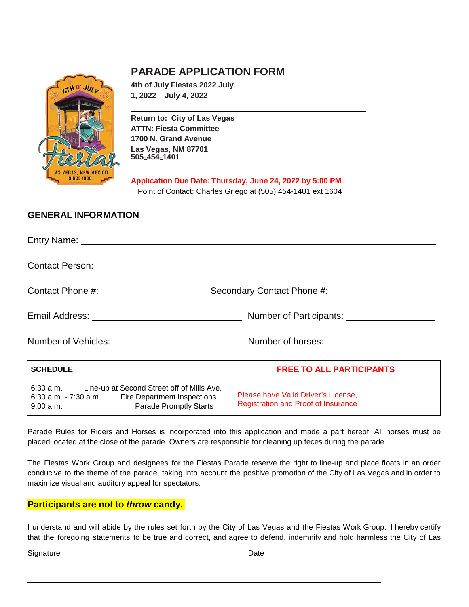

# **PARADE APPLICATION FORM**

**4th of July Fiestas 2022 July 1, 2022 – July 4, 2022**

**Return to: City of Las Vegas ATTN: Fiesta Committee 1700 N. Grand Avenue Las Vegas, NM 87701 505**-**454**-**1401**

**Application Due Date: Thursday, June 24, 2022 by 5:00 PM** Point of Contact: Charles Griego at (505) 454-1401 ext 1604

### **GENERAL INFORMATION**

|                                                                                                                                                              | Secondary Contact Phone #: \[\]                                                                                                                                                                                                      |
|--------------------------------------------------------------------------------------------------------------------------------------------------------------|--------------------------------------------------------------------------------------------------------------------------------------------------------------------------------------------------------------------------------------|
|                                                                                                                                                              | Email Address: <u>Community Community Community Community Community Community Community Community Community Community Community Community Community Community Community Community Community Community Community Community Commun</u> |
| Number of Vehicles: <u>contained and the set of vehicles</u>                                                                                                 |                                                                                                                                                                                                                                      |
| <b>SCHEDULE</b>                                                                                                                                              | <b>FREE TO ALL PARTICIPANTS</b>                                                                                                                                                                                                      |
| 6:30 a.m. Line-up at Second Street off of Mills Ave.<br>6:30 a.m. - 7:30 a.m. Fire Department Inspections<br>9:00 a.m. <b>Example Parade Promptly Starts</b> | Please have Valid Driver's License,<br><b>Registration and Proof of Insurance</b>                                                                                                                                                    |

Parade Rules for Riders and Horses is incorporated into this application and made a part hereof. All horses must be placed located at the close of the parade. Owners are responsible for cleaning up feces during the parade.

The Fiestas Work Group and designees for the Fiestas Parade reserve the right to line-up and place floats in an order conducive to the theme of the parade, taking into account the positive promotion of the City of Las Vegas and in order to maximize visual and auditory appeal for spectators.

#### **Participants are not to** *throw* **candy.**

9:00 a.m. Parade Promptly Starts

I understand and will abide by the rules set forth by the City of Las Vegas and the Fiestas Work Group. I hereby certify that the foregoing statements to be true and correct, and agree to defend, indemnify and hold harmless the City of Las

Signature Date **Date**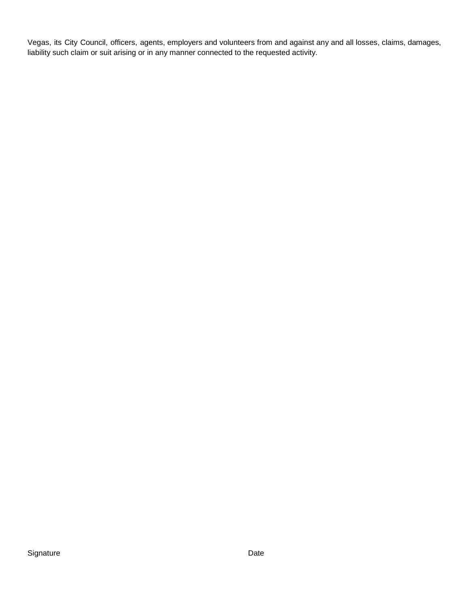Vegas, its City Council, officers, agents, employers and volunteers from and against any and all losses, claims, damages, liability such claim or suit arising or in any manner connected to the requested activity.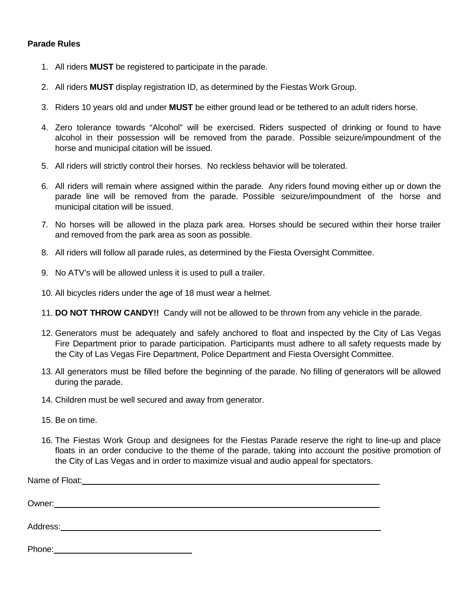#### **Parade Rules**

- 1. All riders **MUST** be registered to participate in the parade.
- 2. All riders **MUST** display registration ID, as determined by the Fiestas Work Group.
- 3. Riders 10 years old and under **MUST** be either ground lead or be tethered to an adult riders horse.
- 4. Zero tolerance towards "Alcohol" will be exercised. Riders suspected of drinking or found to have alcohol in their possession will be removed from the parade. Possible seizure/impoundment of the horse and municipal citation will be issued.
- 5. All riders will strictly control their horses. No reckless behavior will be tolerated.
- 6. All riders will remain where assigned within the parade. Any riders found moving either up or down the parade line will be removed from the parade. Possible seizure/impoundment of the horse and municipal citation will be issued.
- 7. No horses will be allowed in the plaza park area. Horses should be secured within their horse trailer and removed from the park area as soon as possible.
- 8. All riders will follow all parade rules, as determined by the Fiesta Oversight Committee.
- 9. No ATV's will be allowed unless it is used to pull a trailer.
- 10. All bicycles riders under the age of 18 must wear a helmet.
- 11. **DO NOT THROW CANDY!!** Candy will not be allowed to be thrown from any vehicle in the parade.
- 12. Generators must be adequately and safely anchored to float and inspected by the City of Las Vegas Fire Department prior to parade participation. Participants must adhere to all safety requests made by the City of Las Vegas Fire Department, Police Department and Fiesta Oversight Committee.
- 13. All generators must be filled before the beginning of the parade. No filling of generators will be allowed during the parade.
- 14. Children must be well secured and away from generator.
- 15. Be on time.
- 16. The Fiestas Work Group and designees for the Fiestas Parade reserve the right to line-up and place floats in an order conducive to the theme of the parade, taking into account the positive promotion of the City of Las Vegas and in order to maximize visual and audio appeal for spectators.

Phone: Note: 2008 and 2008 and 2008 and 2008 and 2008 and 2008 and 2008 and 2008 and 2008 and 2008 and 2008 and 2008 and 2008 and 2008 and 2008 and 2008 and 2008 and 2008 and 2008 and 2008 and 2008 and 2008 and 2008 and 20 Name of Float: Name of Float: Owner: Address: Andreas Address: Address: Address: Address: Address: Address: Address: Address: Address: Address: Address: Address: Address: Address: Address: Address: Address: Address: Address: Address: Address: Address: Address